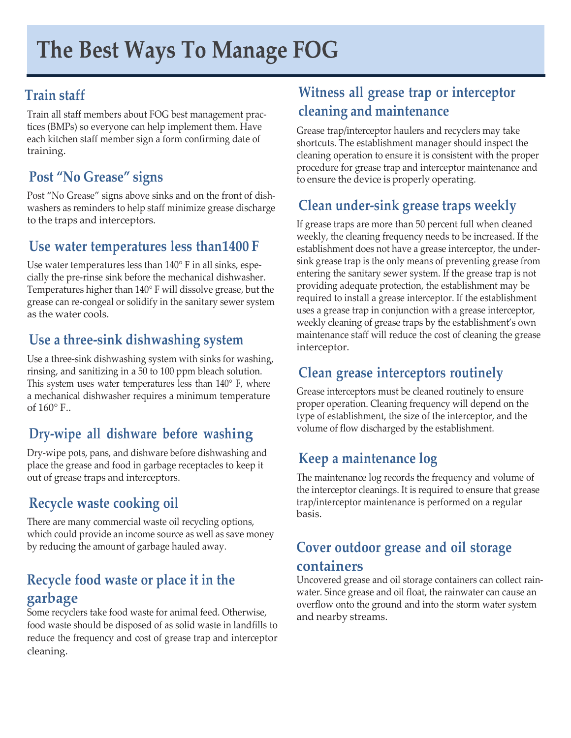# **Train staff**

Train all staff members about FOG best management practices (BMPs) so everyone can help implement them. Have each kitchen staff member sign a form confirming date of training.

# **Post "No Grease" signs**

Post "No Grease" signs above sinks and on the front of dishwashers as reminders to help staff minimize grease discharge to the traps and interceptors.

#### **Use water temperatures less than1400 F**

Use water temperatures less than 140° F in all sinks, especially the pre-rinse sink before the mechanical dishwasher. Temperatures higher than 140° F will dissolve grease, but the grease can re-congeal or solidify in the sanitary sewer system as the water cools.

#### **Use a three-sink dishwashing system**

Use a three-sink dishwashing system with sinks for washing, rinsing, and sanitizing in a 50 to 100 ppm bleach solution. This system uses water temperatures less than 140° F, where a mechanical dishwasher requires a minimum temperature of  $160^{\circ}$  F..

# **Dry-wipe all dishware before washing**

Dry-wipe pots, pans, and dishware before dishwashing and place the grease and food in garbage receptacles to keep it out of grease traps and interceptors.

# **Recycle waste cooking oil**

There are many commercial waste oil recycling options, which could provide an income source as well as save money by reducing the amount of garbage hauled away.

#### **Recycle food waste or place it in the garbage**

Some recyclers take food waste for animal feed. Otherwise, food waste should be disposed of as solid waste in landfills to reduce the frequency and cost of grease trap and interceptor cleaning.

# **Witness all grease trap or interceptor cleaning and maintenance**

Grease trap/interceptor haulers and recyclers may take shortcuts. The establishment manager should inspect the cleaning operation to ensure it is consistent with the proper procedure for grease trap and interceptor maintenance and to ensure the device is properly operating.

# **Clean under-sink grease traps weekly**

If grease traps are more than 50 percent full when cleaned weekly, the cleaning frequency needs to be increased. If the establishment does not have a grease interceptor, the undersink grease trap is the only means of preventing grease from entering the sanitary sewer system. If the grease trap is not providing adequate protection, the establishment may be required to install a grease interceptor. If the establishment uses a grease trap in conjunction with a grease interceptor, weekly cleaning of grease traps by the establishment's own maintenance staff will reduce the cost of cleaning the grease interceptor.

# **Clean grease interceptors routinely**

Grease interceptors must be cleaned routinely to ensure proper operation. Cleaning frequency will depend on the type of establishment, the size of the interceptor, and the volume of flow discharged by the establishment.

# **Keep a maintenance log**

The maintenance log records the frequency and volume of the interceptor cleanings. It is required to ensure that grease trap/interceptor maintenance is performed on a regular basis.

#### **Cover outdoor grease and oil storage containers**

Uncovered grease and oil storage containers can collect rainwater. Since grease and oil float, the rainwater can cause an overflow onto the ground and into the storm water system and nearby streams.